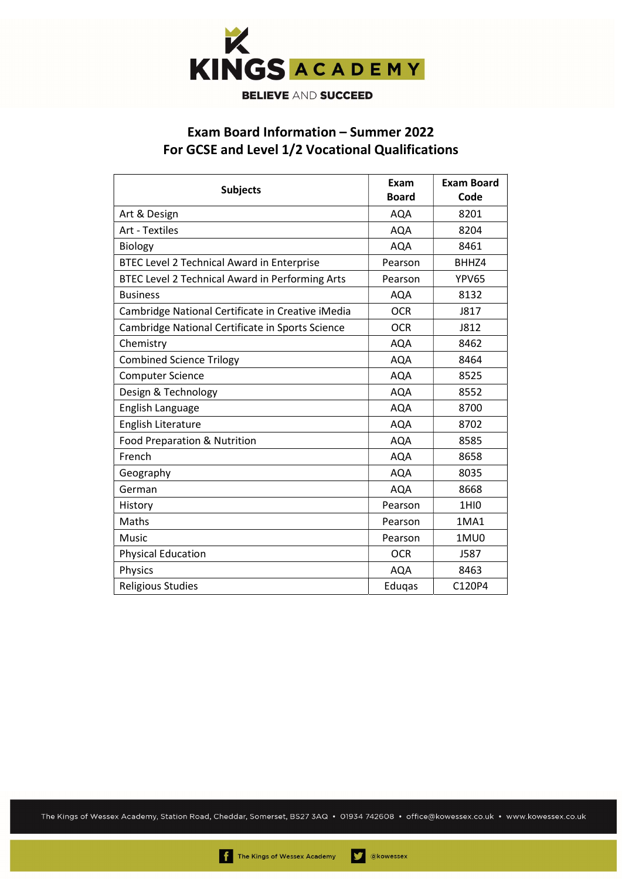

## Exam Board Information – Summer 2022 For GCSE and Level 1/2 Vocational Qualifications

| <b>Subjects</b>                                   | Exam<br><b>Board</b> | <b>Exam Board</b><br>Code |
|---------------------------------------------------|----------------------|---------------------------|
| Art & Design                                      | <b>AQA</b>           | 8201                      |
| <b>Art - Textiles</b>                             | <b>AQA</b>           | 8204                      |
| <b>Biology</b>                                    | <b>AQA</b>           | 8461                      |
| BTEC Level 2 Technical Award in Enterprise        | Pearson              | BHHZ4                     |
| BTEC Level 2 Technical Award in Performing Arts   | Pearson              | <b>YPV65</b>              |
| <b>Business</b>                                   | <b>AQA</b>           | 8132                      |
| Cambridge National Certificate in Creative iMedia | <b>OCR</b>           | J817                      |
| Cambridge National Certificate in Sports Science  | <b>OCR</b>           | J812                      |
| Chemistry                                         | <b>AQA</b>           | 8462                      |
| <b>Combined Science Trilogy</b>                   | <b>AQA</b>           | 8464                      |
| <b>Computer Science</b>                           | <b>AQA</b>           | 8525                      |
| Design & Technology                               | <b>AQA</b>           | 8552                      |
| English Language                                  | <b>AQA</b>           | 8700                      |
| English Literature                                | <b>AQA</b>           | 8702                      |
| Food Preparation & Nutrition                      | <b>AQA</b>           | 8585                      |
| French                                            | <b>AQA</b>           | 8658                      |
| Geography                                         | <b>AQA</b>           | 8035                      |
| German                                            | <b>AQA</b>           | 8668                      |
| History                                           | Pearson              | <b>1HIO</b>               |
| Maths                                             | Pearson              | 1MA1                      |
| <b>Music</b>                                      | Pearson              | 1MU0                      |
| <b>Physical Education</b>                         | <b>OCR</b>           | J587                      |
| Physics                                           | <b>AQA</b>           | 8463                      |
| <b>Religious Studies</b>                          | Eduqas               | C120P4                    |

The Kings of Wessex Academy, Station Road, Cheddar, Somerset, BS27 3AQ • 01934 742608 • office@kowessex.co.uk • www.kowessex.co.uk